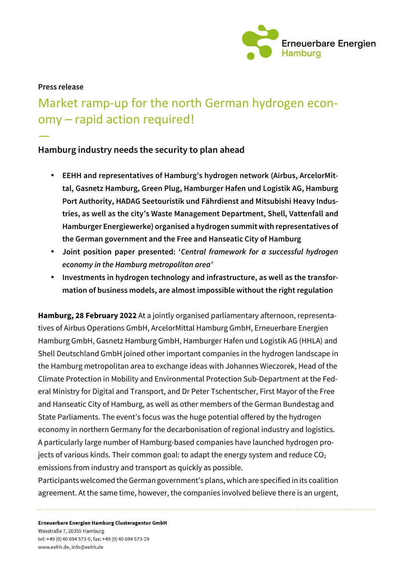

#### **Press release**

—

# Market ramp-up for the north German hydrogen economy – rapid action required!

# **Hamburg industry needs the security to plan ahead**

- **EEHH and representatives of Hamburg's hydrogen network (Airbus, ArcelorMittal, Gasnetz Hamburg, Green Plug, Hamburger Hafen und Logistik AG, Hamburg Port Authority, HADAG Seetouristik und Fährdienst and Mitsubishi Heavy Industries, as well as the city's Waste Management Department, Shell, Vattenfall and Hamburger Energiewerke) organised a hydrogen summit with representatives of the German government and the Free and Hanseatic City of Hamburg**
- **Joint position paper presented: '***Central framework for a successful hydrogen economy in the Hamburg metropolitan area'*
- **Investments in hydrogen technology and infrastructure, as well as the transformation of business models, are almost impossible without the right regulation**

**Hamburg, 28 February 2022** At a jointly organised parliamentary afternoon, representatives of Airbus Operations GmbH, ArcelorMittal Hamburg GmbH, Erneuerbare Energien Hamburg GmbH, Gasnetz Hamburg GmbH, Hamburger Hafen und Logistik AG (HHLA) and Shell Deutschland GmbH joined other important companies in the hydrogen landscape in the Hamburg metropolitan area to exchange ideas with Johannes Wieczorek, Head of the Climate Protection in Mobility and Environmental Protection Sub-Department at the Federal Ministry for Digital and Transport, and Dr Peter Tschentscher, First Mayor of the Free and Hanseatic City of Hamburg, as well as other members of the German Bundestag and State Parliaments. The event's focus was the huge potential offered by the hydrogen economy in northern Germany for the decarbonisation of regional industry and logistics. A particularly large number of Hamburg-based companies have launched hydrogen projects of various kinds. Their common goal: to adapt the energy system and reduce  $CO<sub>2</sub>$ emissions from industry and transport as quickly as possible.

Participants welcomed the German government's plans, which are specified in its coalition agreement. At the same time, however, the companies involved believe there is an urgent,

Erneuerbare Energien Hamburg Clusteragentur GmbH Wexstraße 7, 20355 Hamburg tel: +49 (0) 40 694 573-0, fax: +49 (0) 40 694 573-29 www.eehh.de, info@eehh.de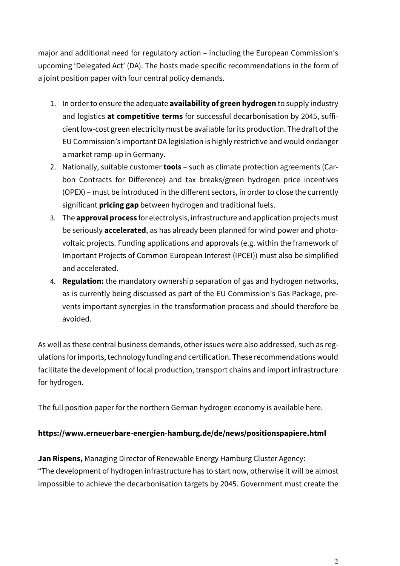major and additional need for regulatory action – including the European Commission's upcoming 'Delegated Act' (DA). The hosts made specific recommendations in the form of a joint position paper with four central policy demands.

- 1. In order to ensure the adequate **availability of green hydrogen** to supply industry and logistics **at competitive terms** for successful decarbonisation by 2045, sufficient low-cost green electricity must be available for its production. The draft of the EU Commission's important DA legislation is highly restrictive and would endanger a market ramp-up in Germany.
- 2. Nationally, suitable customer **tools** such as climate protection agreements (Carbon Contracts for Difference) and tax breaks/green hydrogen price incentives (OPEX) – must be introduced in the different sectors, in order to close the currently significant **pricing gap** between hydrogen and traditional fuels.
- 3. The **approval process** for electrolysis, infrastructure and application projects must be seriously **accelerated**, as has already been planned for wind power and photovoltaic projects. Funding applications and approvals (e.g. within the framework of Important Projects of Common European Interest (IPCEI)) must also be simplified and accelerated.
- 4. **Regulation:** the mandatory ownership separation of gas and hydrogen networks, as is currently being discussed as part of the EU Commission's Gas Package, prevents important synergies in the transformation process and should therefore be avoided.

As well as these central business demands, other issues were also addressed, such as regulations for imports, technology funding and certification. These recommendations would facilitate the development of local production, transport chains and import infrastructure for hydrogen.

The full position paper for the northern German hydrogen economy is available here.

### **https://www.erneuerbare-energien-hamburg.de/de/news/positionspapiere.html**

**Jan Rispens,** Managing Director of Renewable Energy Hamburg Cluster Agency: "The development of hydrogen infrastructure has to start now, otherwise it will be almost impossible to achieve the decarbonisation targets by 2045. Government must create the